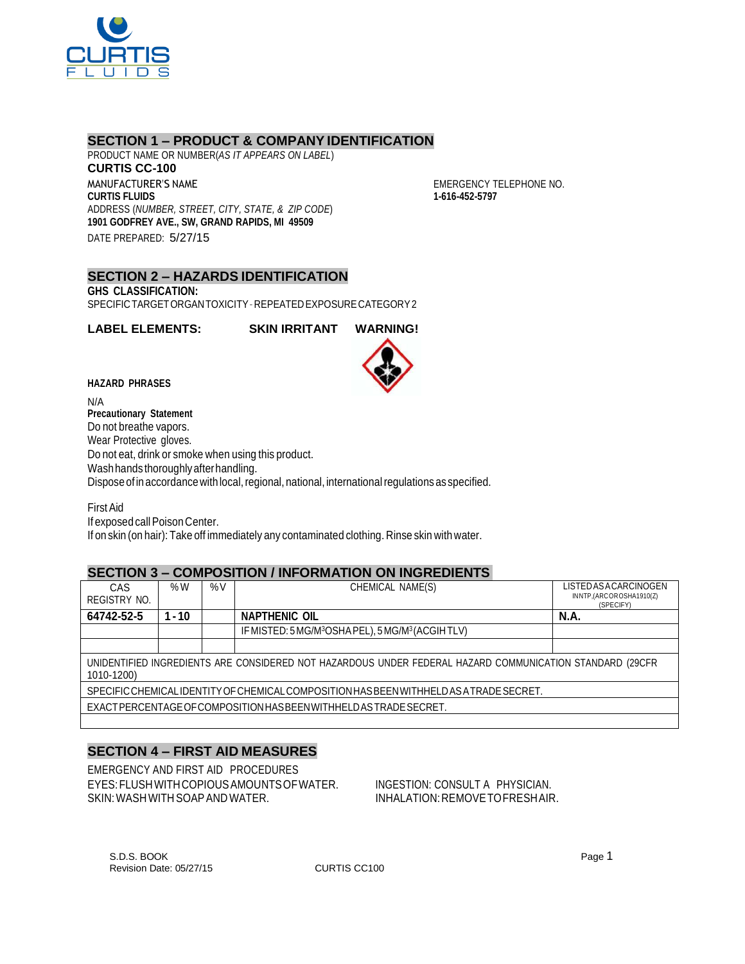

# **SECTION 1 – PRODUCT & COMPANY IDENTIFICATION**

PRODUCT NAME OR NUMBER(*AS IT APPEARS ON LABEL*) **CURTIS CC-100** MANUFACTURER'S NAME **CURTIS FLUIDS** ADDRESS (*NUMBER, STREET, CITY, STATE, & ZIP CODE*) **1901 GODFREY AVE., SW, GRAND RAPIDS, MI 49509** DATE PREPARED: 5/27/15

EMERGENCY TELEPHONE NO. **1-616-452-5797**

## **SECTION 2 – HAZARDS IDENTIFICATION**

**GHS CLASSIFICATION:**

SPECIFICTARGETORGANTOXICITY–REPEATEDEXPOSURECATEGORY2

**LABEL ELEMENTS: SKIN IRRITANT WARNING!**



N/A **Precautionary Statement** Do not breathe vapors. Wear Protective gloves. Do not eat, drink or smoke when using this product. Wash hands thoroughly after handling. Dispose of in accordance with local, regional, national, international regulations as specified.

FirstAid If exposed call Poison Center. If on skin (on hair): Take off immediately any contaminated clothing. Rinse skin with water.

### **SECTION 3 – COMPOSITION / INFORMATION ON INGREDIENTS**

| CAS                                                                                                                    | % $W$    | %V | CHEMICAL NAME(S)                                                          | LISTED AS ACARCINOGEN                |  |
|------------------------------------------------------------------------------------------------------------------------|----------|----|---------------------------------------------------------------------------|--------------------------------------|--|
| REGISTRY NO.                                                                                                           |          |    |                                                                           | INNTP,(ARCOROSHA1910(Z)<br>(SPECIFY) |  |
| 64742-52-5                                                                                                             | $1 - 10$ |    | <b>NAPTHENIC OIL</b>                                                      | <b>N.A.</b>                          |  |
|                                                                                                                        |          |    | IF MISTED: 5 MG/M <sup>3</sup> OSHA PEL), 5 MG/M <sup>3</sup> (ACGIH TLV) |                                      |  |
|                                                                                                                        |          |    |                                                                           |                                      |  |
| UNIDENTIFIED INGREDIENTS ARE CONSIDERED NOT HAZARDOUS UNDER FEDERAL HAZARD COMMUNICATION STANDARD (29CFR<br>1010-1200) |          |    |                                                                           |                                      |  |
| SPECIFIC CHEMICALIDENTITY OF CHEMICAL COMPOSITION HAS BEEN WITHHELD AS A TRADE SECRET.                                 |          |    |                                                                           |                                      |  |
| EXACT PERCENTAGE OF COMPOSITION HAS BEEN WITH HELD AS TRADE SECRET.                                                    |          |    |                                                                           |                                      |  |
|                                                                                                                        |          |    |                                                                           |                                      |  |

# **SECTION 4 – FIRST AID MEASURES**

EMERGENCY AND FIRST AID PROCEDURES EYES:FLUSHWITHCOPIOUSAMOUNTSOFWATER. INGESTION: CONSULT A PHYSICIAN. SKIN: WASH WITH SOAP AND WATER. IN A RELATION: REMOVE TO FRESHAIR.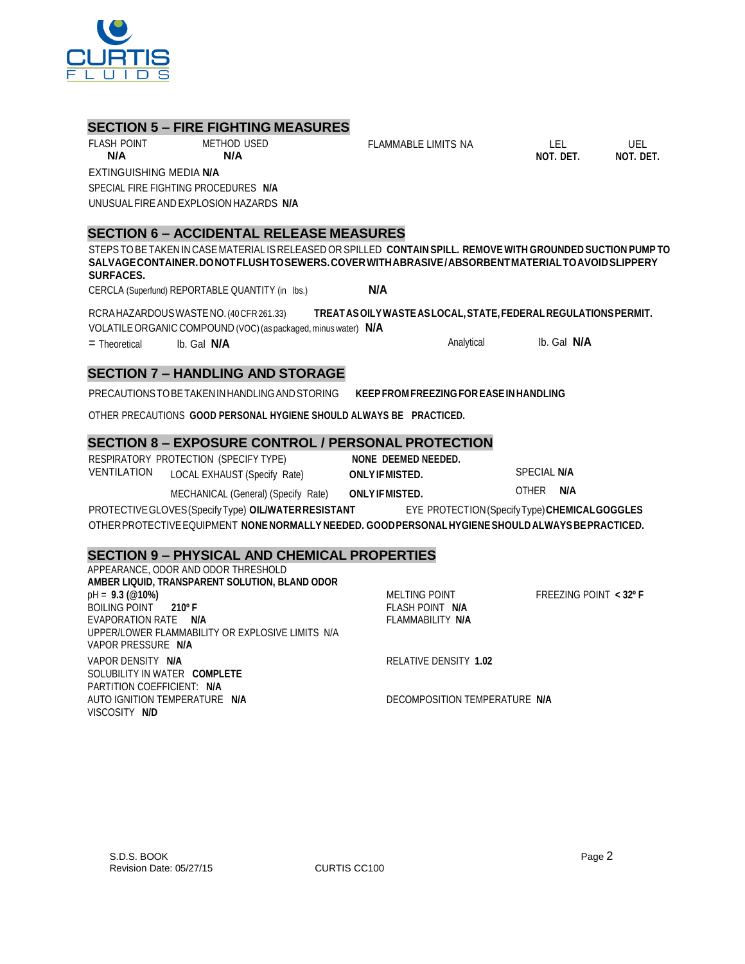

# **SECTION 5 – FIRE FIGHTING MEASURES**

FLASH POINT METHOD USED

FLAMMABLE LIMITS NA LEL UEL

**NOT. DET. NOT. DET.**

**N/A N/A** EXTINGUISHING MEDIA **N/A** SPECIAL FIRE FIGHTING PROCEDURES **N/A** UNUSUALFIREAND EXPLOSION HAZARDS **N/A**

### **SECTION 6 – ACCIDENTAL RELEASE MEASURES**

STEPSTOBETAKEN IN CASE MATERIAL IS RELEASED OR SPILLED **CONTAIN SPILL. REMOVE WITH GROUNDED SUCTION PUMP TO SALVAGECONTAINER.DONOTFLUSHTOSEWERS.COVERWITHABRASIVE/ABSORBENTMATERIALTOAVOIDSLIPPERY SURFACES.**

CERCLA (Superfund) REPORTABLE QUANTITY (in lbs.) **N/A**

RCRAHAZARDOUSWASTENO.(40CFR261.33) **TREATASOILYWASTEASLOCAL,STATE,FEDERAL REGULATIONSPERMIT.** VOLATILEORGANIC COMPOUND (VOC)(as packaged, minus water) **N/A**

= Theoretical lb. Gal **N/A** Analytical lb. Gal **N/A**

# **SECTION 7 – HANDLING AND STORAGE**

PRECAUTIONSTOBETAKENINHANDLINGANDSTORING **KEEPFROM FREEZING FOREASEINHANDLING**

OTHER PRECAUTIONS **GOOD PERSONAL HYGIENE SHOULD ALWAYS BE PRACTICED.**

### **SECTION 8 – EXPOSURE CONTROL / PERSONAL PROTECTION**

RESPIRATORY PROTECTION (SPECIFY TYPE) **NONE DEEMED NEEDED.** VENTILATION LOCAL EXHAUST (Specify Rate) **ONLYIFMISTED.** SPECIAL **N/A**

MECHANICAL (General) (Specify Rate) **ONLYIFMISTED.** OTHER **N/A**

PROTECTIVEGLOVES(SpecifyType) **OIL/WATERRESISTANT** EYE PROTECTION(SpecifyType)**CHEMICALGOGGLES** OTHERPROTECTIVEEQUIPMENT **NONENORMALLY NEEDED. GOODPERSONALHYGIENESHOULDALWAYSBEPRACTICED.**

### **SECTION 9 – PHYSICAL AND CHEMICAL PROPERTIES**

| APPEARANCE, ODOR AND ODOR THRESHOLD              |                               |                          |
|--------------------------------------------------|-------------------------------|--------------------------|
| AMBER LIQUID, TRANSPARENT SOLUTION, BLAND ODOR   |                               |                          |
| $pH = 9.3 (@10%)$                                | MELTING POINT                 | FREEZING POINT $<$ 32º F |
| BOILING POINT 210° F                             | FLASH POINT N/A               |                          |
| EVAPORATION RATE N/A                             | FLAMMABILITY N/A              |                          |
| UPPER/LOWER FLAMMABILITY OR EXPLOSIVE LIMITS N/A |                               |                          |
| VAPOR PRESSURE N/A                               |                               |                          |
| VAPOR DENSITY N/A                                | RELATIVE DENSITY 1.02         |                          |
| SOLUBILITY IN WATER COMPLETE                     |                               |                          |
| PARTITION COEFFICIENT: N/A                       |                               |                          |
| AUTO IGNITION TEMPERATURE N/A                    | DECOMPOSITION TEMPERATURE N/A |                          |
| VISCOSITY N/D                                    |                               |                          |